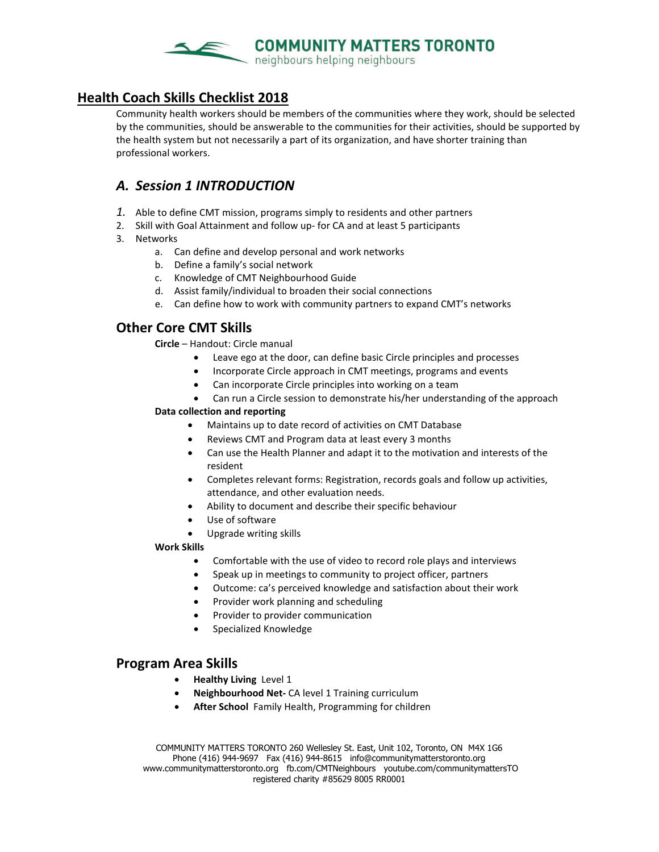

### **Health Coach Skills Checklist 2018**

Community health workers should be members of the communities where they work, should be selected by the communities, should be answerable to the communities for their activities, should be supported by the health system but not necessarily a part of its organization, and have shorter training than professional workers.

# *A. Session 1 INTRODUCTION*

- *1.* Able to define CMT mission, programs simply to residents and other partners
- 2. Skill with Goal Attainment and follow up- for CA and at least 5 participants
- 3. Networks
	- a. Can define and develop personal and work networks
	- b. Define a family's social network
	- c. Knowledge of CMT Neighbourhood Guide
	- d. Assist family/individual to broaden their social connections
	- e. Can define how to work with community partners to expand CMT's networks

## **Other Core CMT Skills**

**Circle** – Handout: Circle manual

- Leave ego at the door, can define basic Circle principles and processes
- Incorporate Circle approach in CMT meetings, programs and events
- Can incorporate Circle principles into working on a team
- Can run a Circle session to demonstrate his/her understanding of the approach

#### **Data collection and reporting**

- Maintains up to date record of activities on CMT Database
- Reviews CMT and Program data at least every 3 months
- Can use the Health Planner and adapt it to the motivation and interests of the resident
- Completes relevant forms: Registration, records goals and follow up activities, attendance, and other evaluation needs.
- Ability to document and describe their specific behaviour
- Use of software
- Upgrade writing skills

#### **Work Skills**

- Comfortable with the use of video to record role plays and interviews
- Speak up in meetings to community to project officer, partners
- Outcome: ca's perceived knowledge and satisfaction about their work
- Provider work planning and scheduling
- Provider to provider communication
- Specialized Knowledge

### **Program Area Skills**

- **Healthy Living** Level 1
- **Neighbourhood Net-** CA level 1 Training curriculum
- **After School** Family Health, Programming for children

COMMUNITY MATTERS TORONTO 260 Wellesley St. East, Unit 102, Toronto, ON M4X 1G6 Phone (416) 944-9697 Fax (416) 944-8615 info@communitymatterstoronto.org www.communitymatterstoronto.org fb.com/CMTNeighbours youtube.com/communitymattersTO registered charity #85629 8005 RR0001